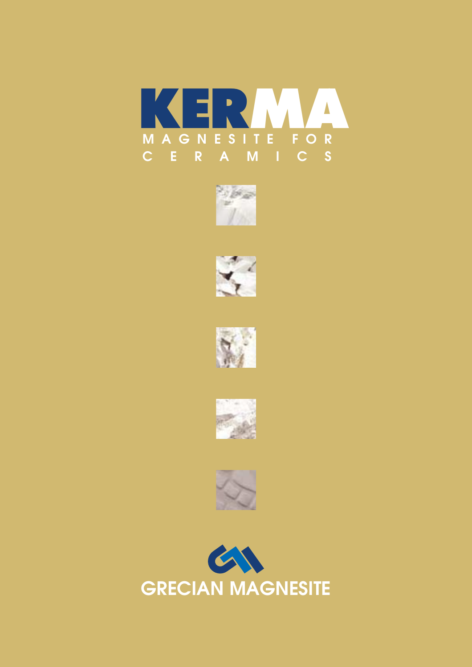











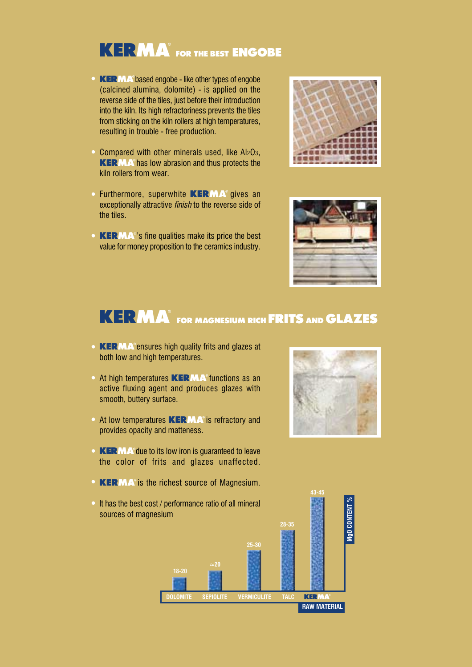# **KERMA** FOR THE BEST **ENGOBE**

- **KERMA**<sup>®</sup> based engobe like other types of engobe (calcined alumina, dolomite) - is applied on the reverse side of the tiles, just before their introduction into the kiln. Its high refractoriness prevents the tiles from sticking on the kiln rollers at high temperatures, resulting in trouble - free production.
- Compared with other minerals used, like Al2O3, **KERMA** has low abrasion and thus protects the kiln rollers from wear.
- Furthermore, superwhite *KERMA* gives an exceptionally attractive *finish* to the reverse side of the tiles.
- **KERMA**<sup>o</sup>'s fine qualities make its price the best value for money proposition to the ceramics industry.





### $\overline{K}$  **F**<sub> $\overline{K}$  **M** $\overline{A}$ <sup> $\overline{B}$ </sup> for magnesium rich **FRITS** and **GLAZES**</sub>

- *KERMA* ensures high quality frits and glazes at both low and high temperatures.
- At high temperatures *KERMA* functions as an active fluxing agent and produces glazes with smooth, buttery surface.
- At low temperatures *KERMA* is refractory and provides opacity and matteness.
- **KERMA**<sup>°</sup> due to its low iron is guaranteed to leave the color of frits and glazes unaffected.
- **KERMA**<sup>®</sup> is the richest source of Magnesium.
- It has the best cost / performance ratio of all mineral sources of magnesium



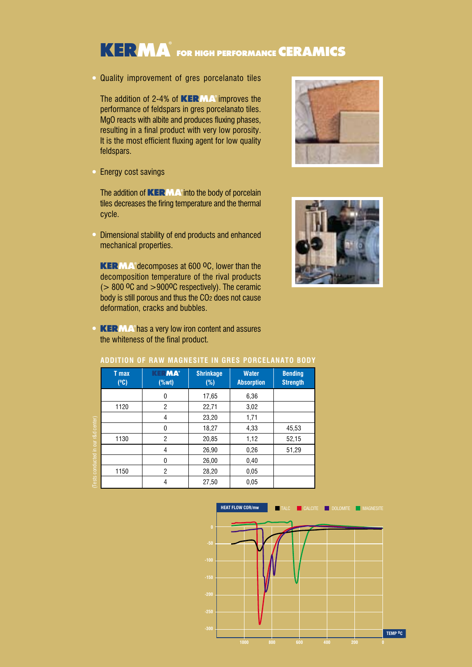# $\overline{K}$  **F** $\overline{R}$  **M** $\overline{A}$  for high performance **CERAMICS**

Quality improvement of gres porcelanato tiles

The addition of 2-4% of *KERMA* improves the performance of feldspars in gres porcelanato tiles. MgO reacts with albite and produces fluxing phases, resulting in a final product with very low porosity. It is the most efficient fluxing agent for low quality feldspars.

• Energy cost savings

The addition of **KERMA** into the body of porcelain tiles decreases the firing temperature and the thermal cycle.

Dimensional stability of end products and enhanced mechanical properties.

**KERMA**<sup>°</sup> decomposes at 600 <sup>o</sup>C, lower than the decomposition temperature of the rival products ( $> 800$  <sup>O</sup>C and  $> 900$ <sup>O</sup>C respectively). The ceramic body is still porous and thus the CO2 does not cause deformation, cracks and bubbles.

**KERMA**<sup>*s*</sup> has a very low iron content and assures the whiteness of the final product.

| ADDIIIUN UF NAW MAUNESIIE IN UNES FUNGELANAIU DUDT |                      |                                                               |                            |                                   |                                   |
|----------------------------------------------------|----------------------|---------------------------------------------------------------|----------------------------|-----------------------------------|-----------------------------------|
|                                                    | <b>T</b> max<br>(°C) | KERMA®<br>$(% \mathcal{L}_{0}^{\prime }\cap \mathcal{L}_{1})$ | <b>Shrinkage</b><br>$(\%)$ | <b>Water</b><br><b>Absorption</b> | <b>Bending</b><br><b>Strength</b> |
|                                                    |                      | 0                                                             | 17,65                      | 6,36                              |                                   |
|                                                    | 1120                 | $\overline{2}$                                                | 22,71                      | 3,02                              |                                   |
|                                                    |                      | 4                                                             | 23,20                      | 1,71                              |                                   |
|                                                    |                      | $\Omega$                                                      | 18,27                      | 4,33                              | 45,53                             |
|                                                    | 1130                 | $\overline{2}$                                                | 20,85                      | 1,12                              | 52,15                             |
|                                                    |                      | 4                                                             | 26,90                      | 0,26                              | 51,29                             |
|                                                    |                      | $\Omega$                                                      | 26,00                      | 0,40                              |                                   |
|                                                    | 1150                 | $\overline{c}$                                                | 28,20                      | 0.05                              |                                   |
|                                                    |                      | 4                                                             | 27,50                      | 0.05                              |                                   |

#### **ADDITION OF RAW MAGNESITE IN GRES PORCELANATO BODY**





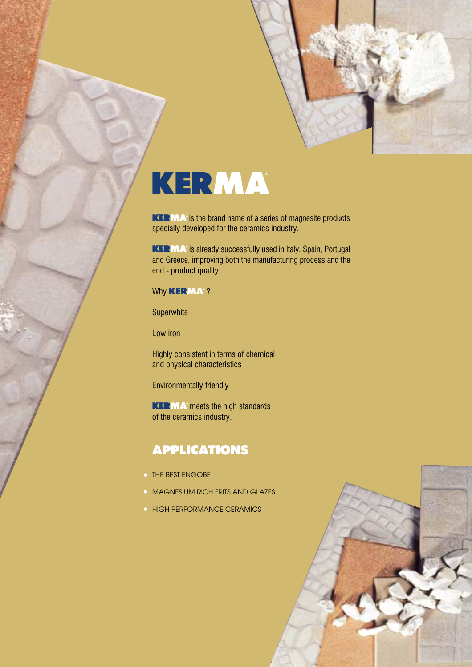

**KERMA**<sup>o</sup> is the brand name of a series of magnesite products specially developed for the ceramics industry.

**KERMA**<sup>®</sup> is already successfully used in Italy, Spain, Portugal and Greece, improving both the manufacturing process and the end - product quality.

#### Why **KERMA<sup>®</sup>?**

**Superwhite** 

Low iron

Highly consistent in terms of chemical and physical characteristics

Environmentally friendly

**KERMA**<sup>°</sup> meets the high standards of the ceramics industry.

### *APPLICATIONS*

- THE BEST ENGOBE
- **MAGNESIUM RICH FRITS AND GLAZES**
- **HIGH PERFORMANCE CERAMICS**